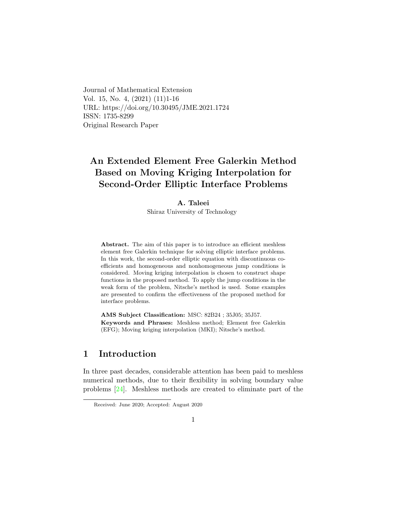Journal of Mathematical Extension Vol. 15, No. 4, (2021) (11)1-16 URL: https://doi.org/10.30495/JME.2021.1724 ISSN: 1735-8299 Original Research Paper

# An Extended Element Free Galerkin Method Based on Moving Kriging Interpolation for Second-Order Elliptic Interface Problems

## A. Taleei

Shiraz University of Technology

Abstract. The aim of this paper is to introduce an efficient meshless element free Galerkin technique for solving elliptic interface problems. In this work, the second-order elliptic equation with discontinuous coefficients and homogeneous and nonhomogeneous jump conditions is considered. Moving kriging interpolation is chosen to construct shape functions in the proposed method. To apply the jump conditions in the weak form of the problem, Nitsche's method is used. Some examples are presented to confirm the effectiveness of the proposed method for interface problems.

AMS Subject Classification: MSC: 82B24 ; 35J05; 35J57. Keywords and Phrases: Meshless method; Element free Galerkin (EFG); Moving kriging interpolation (MKI); Nitsche's method.

# 1 Introduction

In three past decades, considerable attention has been paid to meshless numerical methods, due to their flexibility in solving boundary value problems [\[24\]](#page-14-0). Meshless methods are created to eliminate part of the

Received: June 2020; Accepted: August 2020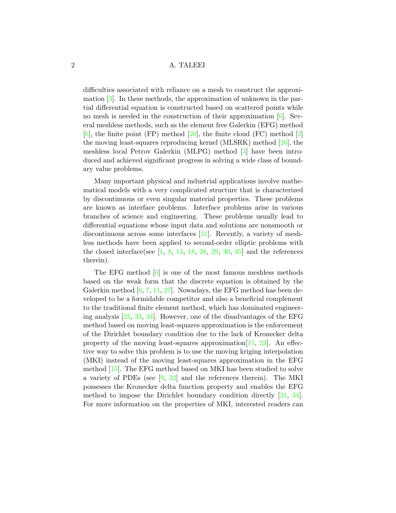difficulties associated with reliance on a mesh to construct the approximation [\[3\]](#page-12-0). In these methods, the approximation of unknown in the partial differential equation is constructed based on scattered points while no mesh is needed in the construction of their approximation  $[6]$ . Several meshless methods, such as the element free Galerkin (EFG) method  $[6]$ , the finite point (FP) method  $[20]$ , the finite cloud (FC) method  $[2]$ the moving least-squares reproducing kernel (MLSRK) method [\[26\]](#page-14-1), the meshless local Petrov Galerkin (MLPG) method [\[3\]](#page-12-0) have been introduced and achieved significant progress in solving a wide class of boundary value problems.

Many important physical and industrial applications involve mathematical models with a very complicated structure that is characterized by discontinuous or even singular material properties. These problems are known as interface problems. Interface problems arise in various branches of science and engineering. These problems usually lead to differential equations whose input data and solutions are nonsmooth or discontinuous across some interfaces [\[21\]](#page-13-1). Recently, a variety of meshless methods have been applied to second-order elliptic problems with the closed interface(see  $[1, 8, 14, 18, 28, 29, 30, 35]$  $[1, 8, 14, 18, 28, 29, 30, 35]$  $[1, 8, 14, 18, 28, 29, 30, 35]$  $[1, 8, 14, 18, 28, 29, 30, 35]$  $[1, 8, 14, 18, 28, 29, 30, 35]$  $[1, 8, 14, 18, 28, 29, 30, 35]$  $[1, 8, 14, 18, 28, 29, 30, 35]$  $[1, 8, 14, 18, 28, 29, 30, 35]$  $[1, 8, 14, 18, 28, 29, 30, 35]$  $[1, 8, 14, 18, 28, 29, 30, 35]$  $[1, 8, 14, 18, 28, 29, 30, 35]$  $[1, 8, 14, 18, 28, 29, 30, 35]$  $[1, 8, 14, 18, 28, 29, 30, 35]$  $[1, 8, 14, 18, 28, 29, 30, 35]$  and the references therein).

The EFG method [\[6\]](#page-12-1) is one of the most famous meshless methods based on the weak form that the discrete equation is obtained by the Galerkin method  $[6, 7, 11, 27]$  $[6, 7, 11, 27]$  $[6, 7, 11, 27]$  $[6, 7, 11, 27]$  $[6, 7, 11, 27]$  $[6, 7, 11, 27]$ . Nowadays, the EFG method has been developed to be a formidable competitor and also a beneficial complement to the traditional finite element method, which has dominated engineering analysis [\[25,](#page-14-6) [33,](#page-15-1) [34\]](#page-15-2). However, one of the disadvantages of the EFG method based on moving least-squares approximation is the enforcement of the Dirichlet boundary condition due to the lack of Kronecker delta property of the moving least-squares approximation  $[15, 23]$  $[15, 23]$  $[15, 23]$ . An effective way to solve this problem is to use the moving kriging interpolation (MKI) instead of the moving least-squares approximation in the EFG method [\[15\]](#page-13-4). The EFG method based on MKI has been studied to solve a variety of PDEs (see [\[9,](#page-12-5) [32\]](#page-15-3) and the references therein). The MKI possesses the Kronecker delta function property and enables the EFG method to impose the Dirichlet boundary condition directly [\[31,](#page-15-4) [34\]](#page-15-2). For more information on the properties of MKI, interested readers can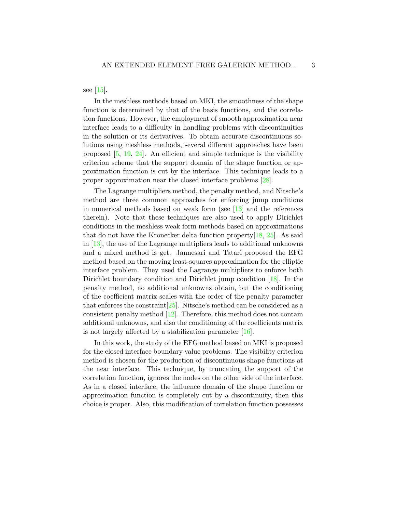see [\[15\]](#page-13-4).

In the meshless methods based on MKI, the smoothness of the shape function is determined by that of the basis functions, and the correlation functions. However, the employment of smooth approximation near interface leads to a difficulty in handling problems with discontinuities in the solution or its derivatives. To obtain accurate discontinuous solutions using meshless methods, several different approaches have been proposed  $[5, 19, 24]$  $[5, 19, 24]$  $[5, 19, 24]$  $[5, 19, 24]$ . An efficient and simple technique is the visibility criterion scheme that the support domain of the shape function or approximation function is cut by the interface. This technique leads to a proper approximation near the closed interface problems [\[28\]](#page-14-2).

The Lagrange multipliers method, the penalty method, and Nitsche's method are three common approaches for enforcing jump conditions in numerical methods based on weak form (see [\[13\]](#page-13-6) and the references therein). Note that these techniques are also used to apply Dirichlet conditions in the meshless weak form methods based on approximations that do not have the Kronecker delta function property $[18, 25]$  $[18, 25]$  $[18, 25]$ . As said in [\[13\]](#page-13-6), the use of the Lagrange multipliers leads to additional unknowns and a mixed method is get. Jannesari and Tatari proposed the EFG method based on the moving least-squares approximation for the elliptic interface problem. They used the Lagrange multipliers to enforce both Dirichlet boundary condition and Dirichlet jump condition [\[18\]](#page-13-3). In the penalty method, no additional unknowns obtain, but the conditioning of the coefficient matrix scales with the order of the penalty parameter that enforces the constraint  $[25]$ . Nitsche's method can be considered as a consistent penalty method [\[12\]](#page-12-7). Therefore, this method does not contain additional unknowns, and also the conditioning of the coefficients matrix is not largely affected by a stabilization parameter  $[16]$ .

In this work, the study of the EFG method based on MKI is proposed for the closed interface boundary value problems. The visibility criterion method is chosen for the production of discontinuous shape functions at the near interface. This technique, by truncating the support of the correlation function, ignores the nodes on the other side of the interface. As in a closed interface, the influence domain of the shape function or approximation function is completely cut by a discontinuity, then this choice is proper. Also, this modification of correlation function possesses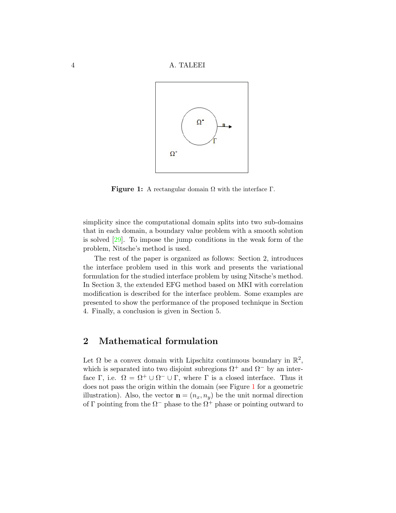<span id="page-3-0"></span>4 A. TALEEI



**Figure 1:** A rectangular domain  $\Omega$  with the interface  $\Gamma$ .

simplicity since the computational domain splits into two sub-domains that in each domain, a boundary value problem with a smooth solution is solved [\[29\]](#page-14-3). To impose the jump conditions in the weak form of the problem, Nitsche's method is used.

The rest of the paper is organized as follows: Section 2, introduces the interface problem used in this work and presents the variational formulation for the studied interface problem by using Nitsche's method. In Section 3, the extended EFG method based on MKI with correlation modification is described for the interface problem. Some examples are presented to show the performance of the proposed technique in Section 4. Finally, a conclusion is given in Section 5.

# 2 Mathematical formulation

Let  $\Omega$  be a convex domain with Lipschitz continuous boundary in  $\mathbb{R}^2$ , which is separated into two disjoint subregions  $\Omega^+$  and  $\Omega^-$  by an interface  $\Gamma$ , i.e.  $\Omega = \Omega^+ \cup \Omega^- \cup \Gamma$ , where  $\Gamma$  is a closed interface. Thus it does not pass the origin within the domain (see Figure [1](#page-3-0) for a geometric illustration). Also, the vector  $\mathbf{n} = (n_x, n_y)$  be the unit normal direction of Γ pointing from the  $\Omega^-$  phase to the  $\Omega^+$  phase or pointing outward to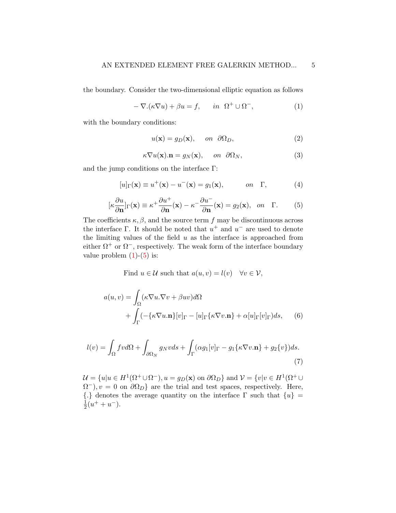the boundary. Consider the two-dimensional elliptic equation as follows

<span id="page-4-0"></span>
$$
-\nabla \cdot (\kappa \nabla u) + \beta u = f, \quad in \ \Omega^+ \cup \Omega^-, \tag{1}
$$

with the boundary conditions:

$$
u(\mathbf{x}) = g_D(\mathbf{x}), \quad on \ \partial \Omega_D,\tag{2}
$$

$$
\kappa \nabla u(\mathbf{x}).\mathbf{n} = g_N(\mathbf{x}), \quad on \ \partial \Omega_N,
$$
\n(3)

and the jump conditions on the interface Γ:

$$
[u]_{\Gamma}(\mathbf{x}) \equiv u^{+}(\mathbf{x}) - u^{-}(\mathbf{x}) = g_1(\mathbf{x}), \qquad on \Gamma,
$$
 (4)

<span id="page-4-1"></span>
$$
[\kappa \frac{\partial u}{\partial \mathbf{n}}]_{\Gamma}(\mathbf{x}) \equiv \kappa^+ \frac{\partial u^+}{\partial \mathbf{n}}(\mathbf{x}) - \kappa^- \frac{\partial u^-}{\partial \mathbf{n}}(\mathbf{x}) = g_2(\mathbf{x}), \quad on \quad \Gamma. \tag{5}
$$

The coefficients  $\kappa$ ,  $\beta$ , and the source term f may be discontinuous across the interface  $\Gamma$ . It should be noted that  $u^+$  and  $u^-$  are used to denote the limiting values of the field  $u$  as the interface is approached from either  $\Omega^+$  or  $\Omega^-$ , respectively. The weak form of the interface boundary value problem  $(1)-(5)$  $(1)-(5)$  is:

<span id="page-4-3"></span><span id="page-4-2"></span>Find  $u \in \mathcal{U}$  such that  $a(u, v) = l(v) \quad \forall v \in \mathcal{V}$ ,

$$
a(u,v) = \int_{\Omega} (\kappa \nabla u \cdot \nabla v + \beta uv) d\Omega + \int_{\Gamma} (-\{\kappa \nabla u \cdot \mathbf{n}\}[v]_{\Gamma} - [u]_{\Gamma} {\{\kappa \nabla v \cdot \mathbf{n}\}} + \alpha [u]_{\Gamma}[v]_{\Gamma}) ds, \quad (6)
$$

$$
l(v) = \int_{\Omega} fv d\Omega + \int_{\partial\Omega_N} g_N v ds + \int_{\Gamma} (\alpha g_1[v]_{\Gamma} - g_1\{\kappa \nabla v \cdot \mathbf{n}\} + g_2\{v\}) ds. \tag{7}
$$

 $\mathcal{U} = \{u | u \in H^1(\Omega^+ \cup \Omega^-), u = g_D(\mathbf{x}) \text{ on } \partial \Omega_D\} \text{ and } \mathcal{V} = \{v | v \in H^1(\Omega^+ \cup \Omega^-), u = g_D(\mathbf{x}) \text{ on } \partial \Omega_D\}$  $\Omega^{-}$ ),  $v = 0$  on  $\partial \Omega_{D}$ } are the trial and test spaces, respectively. Here,  $\{.\}$  denotes the average quantity on the interface  $\Gamma$  such that  $\{u\} =$ 1  $\frac{1}{2}(u^{+}+u^{-}).$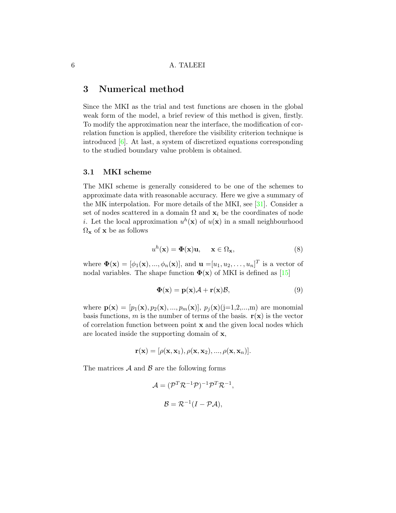# 3 Numerical method

Since the MKI as the trial and test functions are chosen in the global weak form of the model, a brief review of this method is given, firstly. To modify the approximation near the interface, the modification of correlation function is applied, therefore the visibility criterion technique is introduced [\[6\]](#page-12-1). At last, a system of discretized equations corresponding to the studied boundary value problem is obtained.

# 3.1 MKI scheme

The MKI scheme is generally considered to be one of the schemes to approximate data with reasonable accuracy. Here we give a summary of the MK interpolation. For more details of the MKI, see  $[31]$ . Consider a set of nodes scattered in a domain  $\Omega$  and  $\mathbf{x}_i$  be the coordinates of node *i*. Let the local approximation  $u^h(\mathbf{x})$  of  $u(\mathbf{x})$  in a small neighbourhood  $\Omega_{\mathbf{x}}$  of  $\mathbf{x}$  be as follows

<span id="page-5-0"></span>
$$
u^{h}(\mathbf{x}) = \mathbf{\Phi}(\mathbf{x})\mathbf{u}, \quad \mathbf{x} \in \Omega_{\mathbf{x}},
$$
\n(8)

where  $\mathbf{\Phi}(\mathbf{x}) = [\phi_1(\mathbf{x}), ..., \phi_n(\mathbf{x})]$ , and  $\mathbf{u} = [u_1, u_2, ..., u_n]^T$  is a vector of nodal variables. The shape function  $\Phi(\mathbf{x})$  of MKI is defined as [\[15\]](#page-13-4)

<span id="page-5-1"></span>
$$
\Phi(\mathbf{x}) = \mathbf{p}(\mathbf{x})\mathcal{A} + \mathbf{r}(\mathbf{x})\mathcal{B},\tag{9}
$$

where  $\mathbf{p}(\mathbf{x}) = [p_1(\mathbf{x}), p_2(\mathbf{x}), ..., p_m(\mathbf{x})], p_j(\mathbf{x})$  (j=1,2,...,m) are monomial basis functions, m is the number of terms of the basis.  $r(x)$  is the vector of correlation function between point  $x$  and the given local nodes which are located inside the supporting domain of x,

$$
\mathbf{r}(\mathbf{x}) = [\rho(\mathbf{x}, \mathbf{x}_1), \rho(\mathbf{x}, \mathbf{x}_2), ..., \rho(\mathbf{x}, \mathbf{x}_n)].
$$

The matrices  $A$  and  $B$  are the following forms

$$
A = (\mathcal{P}^T \mathcal{R}^{-1} \mathcal{P})^{-1} \mathcal{P}^T \mathcal{R}^{-1},
$$

$$
B = \mathcal{R}^{-1} (I - \mathcal{P} \mathcal{A}),
$$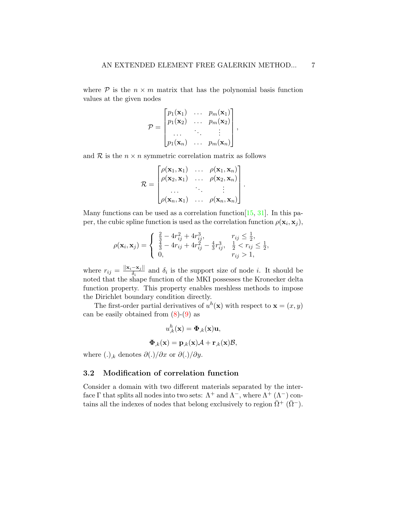where  $P$  is the  $n \times m$  matrix that has the polynomial basis function values at the given nodes

$$
\mathcal{P} = \begin{bmatrix} p_1(\mathbf{x}_1) & \dots & p_m(\mathbf{x}_1) \\ p_1(\mathbf{x}_2) & \dots & p_m(\mathbf{x}_2) \\ \dots & \dots & \vdots \\ p_1(\mathbf{x}_n) & \dots & p_m(\mathbf{x}_n) \end{bmatrix},
$$

and  $R$  is the  $n \times n$  symmetric correlation matrix as follows

$$
\mathcal{R} = \begin{bmatrix} \rho(\mathbf{x}_1, \mathbf{x}_1) & \dots & \rho(\mathbf{x}_1, \mathbf{x}_n) \\ \rho(\mathbf{x}_2, \mathbf{x}_1) & \dots & \rho(\mathbf{x}_2, \mathbf{x}_n) \\ \dots & \dots & \vdots \\ \rho(\mathbf{x}_n, \mathbf{x}_1) & \dots & \rho(\mathbf{x}_n, \mathbf{x}_n) \end{bmatrix}.
$$

Many functions can be used as a correlation function  $[15, 31]$  $[15, 31]$  $[15, 31]$ . In this paper, the cubic spline function is used as the correlation function  $\rho(\mathbf{x}_i, \mathbf{x}_j)$ ,

$$
\rho(\mathbf{x}_i, \mathbf{x}_j) = \begin{cases} \frac{2}{3} - 4r_{ij}^2 + 4r_{ij}^3, & r_{ij} \le \frac{1}{2}, \\ \frac{4}{3} - 4r_{ij} + 4r_{ij}^2 - \frac{4}{3}r_{ij}^3, & \frac{1}{2} < r_{ij} \le \frac{1}{2}, \\ 0, & r_{ij} > 1, \end{cases}
$$

where  $r_{ij} = \frac{||\mathbf{x}_i - \mathbf{x}_j||}{\delta_i}$  $\frac{-\mathbf{x}_{j||}}{\delta_i}$  and  $\delta_i$  is the support size of node *i*. It should be noted that the shape function of the MKI possesses the Kronecker delta function property. This property enables meshless methods to impose the Dirichlet boundary condition directly.

The first-order partial derivatives of  $u^h(\mathbf{x})$  with respect to  $\mathbf{x} = (x, y)$ can be easily obtained from  $(8)-(9)$  $(8)-(9)$  as

$$
u_{,k}^{h}(\mathbf{x}) = \mathbf{\Phi}_{,k}(\mathbf{x})\mathbf{u},
$$
  

$$
\mathbf{\Phi}_{,k}(\mathbf{x}) = \mathbf{p}_{,k}(\mathbf{x})\mathcal{A} + \mathbf{r}_{,k}(\mathbf{x})\mathcal{B},
$$

where (.), $_k$  denotes  $\partial(.)/\partial x$  or  $\partial(.)/\partial y$ .

## 3.2 Modification of correlation function

Consider a domain with two different materials separated by the interface  $\Gamma$  that splits all nodes into two sets:  $\Lambda^+$  and  $\Lambda^-$ , where  $\Lambda^+$  ( $\Lambda^-$ ) contains all the indexes of nodes that belong exclusively to region  $\bar{\Omega}^+$  ( $\bar{\Omega}^-$ ).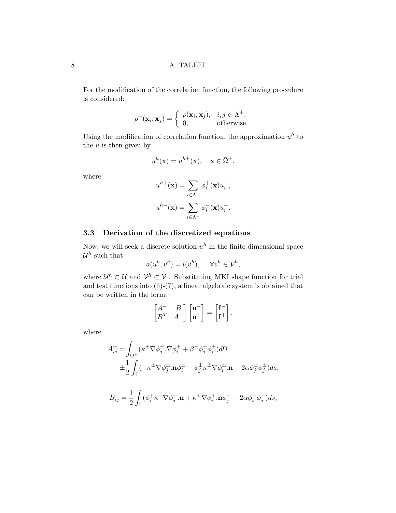For the modification of the correlation function, the following procedure is considered:

$$
\rho^{\pm}(\mathbf{x}_i, \mathbf{x}_j) = \begin{cases} \rho(\mathbf{x}_i, \mathbf{x}_j), & i, j \in \Lambda^{\pm}, \\ 0, & \text{otherwise.} \end{cases}
$$

Using the modification of correlation function, the approximation  $u^h$  to the  $u$  is then given by

$$
u^h(\mathbf{x}) = u^{h\pm}(\mathbf{x}), \quad \mathbf{x} \in \bar{\Omega}^{\pm},
$$

where

$$
u^{h+}(\mathbf{x}) = \sum_{i \in \Lambda^+} \phi_i^+(\mathbf{x}) u_i^+,
$$
  

$$
u^{h-}(\mathbf{x}) = \sum_{i \in \Lambda^-} \phi_i^-(\mathbf{x}) u_i^-.
$$

# 3.3 Derivation of the discretized equations

Now, we will seek a discrete solution  $u^h$  in the finite-dimensional space  $\mathcal{U}^h$  such that

$$
a(u^h, v^h) = l(v^h), \quad \forall v^h \in \mathcal{V}^h,
$$

where  $\mathcal{U}^h \subset \mathcal{U}$  and  $\mathcal{V}^h \subset \mathcal{V}$ . Substituting MKI shape function for trial and test functions into  $(6)-(7)$  $(6)-(7)$ , a linear algebraic system is obtained that can be written in the form:

$$
\begin{bmatrix} A^- & B \\ B^T & A^+ \end{bmatrix} \begin{bmatrix} \mathbf{u}^- \\ \mathbf{u}^+ \end{bmatrix} = \begin{bmatrix} \mathbf{f}^- \\ \mathbf{f}^+ \end{bmatrix},
$$

where

$$
A_{ij}^{\pm} = \int_{\Omega^{\pm}} (\kappa^{\pm} \nabla \phi_j^{\pm} \cdot \nabla \phi_i^{\pm} + \beta^{\pm} \phi_j^{\pm} \phi_i^{\pm}) d\Omega
$$
  
\n
$$
\pm \frac{1}{2} \int_{\Gamma} (-\kappa^{\pm} \nabla \phi_j^{\pm} \cdot \mathbf{n} \phi_i^{\pm} - \phi_j^{\pm} \kappa^{\pm} \nabla \phi_i^{\pm} \cdot \mathbf{n} + 2\alpha \phi_j^{\pm} \phi_j^{\pm}) ds,
$$
  
\n
$$
B_{ij} = \frac{1}{2} \int_{\Gamma} (\phi_i^{\pm} \kappa^{\mp} \nabla \phi_j^{\mp} \cdot \mathbf{n} + \kappa^{\mp} \nabla \phi_i^{\pm} \cdot \mathbf{n} \phi_j^{\mp} - 2\alpha \phi_i^{\pm} \phi_j^{\mp}) ds,
$$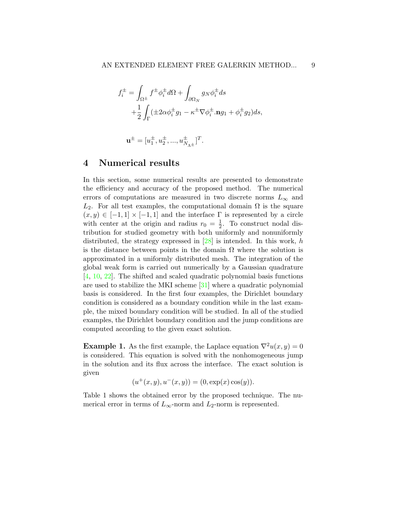$$
f_i^{\pm} = \int_{\Omega^{\pm}} f^{\pm} \phi_i^{\pm} d\Omega + \int_{\partial \Omega_N} g_N \phi_i^{\pm} ds
$$
  
+ 
$$
\frac{1}{2} \int_{\Gamma} (\pm 2\alpha \phi_i^{\pm} g_1 - \kappa^{\pm} \nabla \phi_i^{\pm} . \mathbf{n} g_1 + \phi_i^{\pm} g_2) ds,
$$

$$
\mathbf{u}^{\pm} = [u_1^{\pm}, u_2^{\pm}, ..., u_{N_{\Lambda^{\pm}}}^{\pm}]^T.
$$

# 4 Numerical results

In this section, some numerical results are presented to demonstrate the efficiency and accuracy of the proposed method. The numerical errors of computations are measured in two discrete norms  $L_{\infty}$  and  $L_2$ . For all test examples, the computational domain  $\Omega$  is the square  $(x, y) \in [-1, 1] \times [-1, 1]$  and the interface  $\Gamma$  is represented by a circle with center at the origin and radius  $r_0 = \frac{1}{2}$  $\frac{1}{2}$ . To construct nodal distribution for studied geometry with both uniformly and nonuniformly distributed, the strategy expressed in  $[28]$  is intended. In this work, h is the distance between points in the domain  $\Omega$  where the solution is approximated in a uniformly distributed mesh. The integration of the global weak form is carried out numerically by a Gaussian quadrature [\[4,](#page-12-8) [10,](#page-12-9) [22\]](#page-14-8). The shifted and scaled quadratic polynomial basis functions are used to stabilize the MKI scheme [\[31\]](#page-15-4) where a quadratic polynomial basis is considered. In the first four examples, the Dirichlet boundary condition is considered as a boundary condition while in the last example, the mixed boundary condition will be studied. In all of the studied examples, the Dirichlet boundary condition and the jump conditions are computed according to the given exact solution.

**Example 1.** As the first example, the Laplace equation  $\nabla^2 u(x, y) = 0$ is considered. This equation is solved with the nonhomogeneous jump in the solution and its flux across the interface. The exact solution is given

$$
(u^+(x,y), u^-(x,y)) = (0, \exp(x)\cos(y)).
$$

Table 1 shows the obtained error by the proposed technique. The numerical error in terms of  $L_{\infty}$ -norm and  $L_2$ -norm is represented.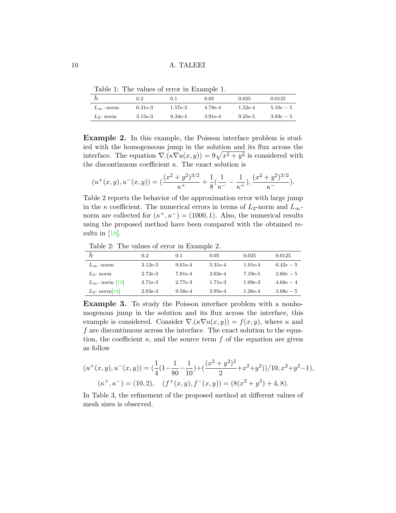Table 1: The values of error in Example 1.

|                    | 0.2       | 0.1       | 0.05      | 0.025     | 0.0125      |
|--------------------|-----------|-----------|-----------|-----------|-------------|
| $L_{\infty}$ -norm | $6.31e-3$ | $1.57e-3$ | 4.78e-4   | $1.52e-4$ | $5.10e - 5$ |
| $L_2$ - norm       | $3.15e-3$ | $9.34e-4$ | $3.91e-4$ | $9.25e-5$ | $3.93e-5$   |

Example 2. In this example, the Poisson interface problem is studied with the homogeneous jump in the solution and its flux across the interface. The equation  $\nabla \cdot (\kappa \nabla u(x, y)) = 9\sqrt{x^2 + y^2}$  is considered with the discontinuous coefficient  $\kappa$ . The exact solution is

$$
(u^+(x,y), u^-(x,y)) = \left(\frac{(x^2+y^2)^{3/2}}{\kappa^+} + \frac{1}{8}\left(\frac{1}{\kappa^-} - \frac{1}{\kappa^+}\right), \frac{(x^2+y^2)^{3/2}}{\kappa^-}\right).
$$

Table 2 reports the behavior of the approximation error with large jump in the  $\kappa$  coefficient. The numerical errors in terms of  $L_2$ -norm and  $L_{\infty}$ norm are collected for  $(\kappa^+, \kappa^-) = (1000, 1)$ . Also, the numerical results using the proposed method have been compared with the obtained results in [\[18\]](#page-13-3).

Table 2: The values of error in Example 2.

|                          | 0.2       | 0.1       | 0.05      | 0.025     | 0.0125      |
|--------------------------|-----------|-----------|-----------|-----------|-------------|
| $L_{\infty}$ -norm       | $3.12e-3$ | $9.61e-4$ | $5.31e-4$ | $1.91e-4$ | $6.42e-5$   |
| $L_2$ - norm             | $2.72e-3$ | 7.81e-4   | $2.63e-4$ | $7.19e-5$ | $2.60e - 5$ |
| $L_{\infty}$ - norm [18] | 3.71e-3   | 2.77e-3   | 1.71e-3   | $1.09e-3$ | $4.68e-4$   |
| $L_2$ - norm [18]        | $2.03e-3$ | $9.58e-4$ | $3.95e-4$ | $1.26e-4$ | $3.68e-5$   |

Example 3. To study the Poisson interface problem with a nonhomogenous jump in the solution and its flux across the interface, this example is considered. Consider  $\nabla \cdot (\kappa \nabla u(x, y)) = f(x, y)$ , where  $\kappa$  and f are discontinuous across the interface. The exact solution to the equation, the coefficient  $\kappa$ , and the source term f of the equation are given as follow

$$
(u^+(x,y), u^-(x,y)) = \left(\frac{1}{4}\left(1 - \frac{1}{80} - \frac{1}{10}\right) + \left(\frac{(x^2 + y^2)^2}{2} + x^2 + y^2\right)\right)/10, x^2 + y^2 - 1),
$$
  

$$
(\kappa^+, \kappa^-) = (10, 2), \quad (f^+(x,y), f^-(x,y)) = (8(x^2 + y^2) + 4, 8).
$$

In Table 3, the refinement of the proposed method at different values of mesh sizes is observed.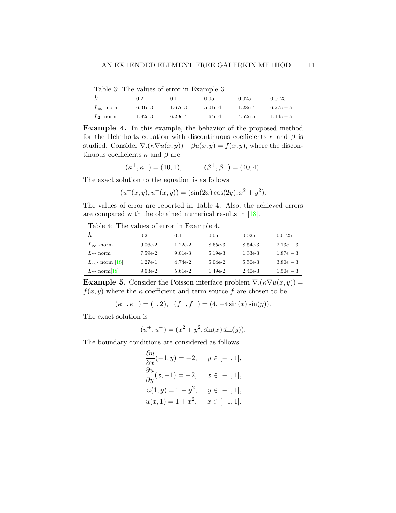Table 3: The values of error in Example 3.

|                    | $0.2\,$   | 0.1       | 0.05      | 0.025     | 0.0125      |
|--------------------|-----------|-----------|-----------|-----------|-------------|
| $L_{\infty}$ -norm | $6.31e-3$ | $1.67e-3$ | $5.01e-4$ | $1.28e-4$ | $6.27e-5$   |
| $L_2$ - norm       | $1.92e-3$ | $6.29e-4$ | 1.64e-4   | $4.52e-5$ | $1.14e - 5$ |

Example 4. In this example, the behavior of the proposed method for the Helmholtz equation with discontinuous coefficients  $\kappa$  and  $\beta$  is studied. Consider  $\nabla \cdot (\kappa \nabla u(x, y)) + \beta u(x, y) = f(x, y)$ , where the discontinuous coefficients  $\kappa$  and  $\beta$  are

$$
(\kappa^+, \kappa^-) = (10, 1), \qquad (\beta^+, \beta^-) = (40, 4).
$$

The exact solution to the equation is as follows

$$
(u^+(x,y), u^-(x,y)) = (\sin(2x)\cos(2y), x^2 + y^2).
$$

The values of error are reported in Table 4. Also, the achieved errors are compared with the obtained numerical results in [\[18\]](#page-13-3).

Table 4: The values of error in Example 4.

|                          | 0.2       | 0.1       | 0.05      | 0.025     | 0.0125      |
|--------------------------|-----------|-----------|-----------|-----------|-------------|
| $L_{\infty}$ -norm       | $9.06e-2$ | $1.22e-2$ | 8.65e-3   | 8.54e-3   | $2.13e - 3$ |
| $L_{2}$ - norm           | $7.59e-2$ | $9.01e-3$ | $5.19e-3$ | $1.33e-3$ | $1.87e - 3$ |
| $L_{\infty}$ - norm [18] | $1.27e-1$ | $4.74e-2$ | $5.04e-2$ | $5.50e-3$ | $3.80e - 3$ |
| $L_2$ - norm [18]        | $9.63e-2$ | 5.61e-2   | $1.49e-2$ | $2.40e-3$ | $1.50e - 3$ |

**Example 5.** Consider the Poisson interface problem  $\nabla$ . $(\kappa \nabla u(x, y))$  =  $f(x, y)$  where the  $\kappa$  coefficient and term source f are chosen to be

$$
(\kappa^+, \kappa^-) = (1, 2), \quad (f^+, f^-) = (4, -4\sin(x)\sin(y)).
$$

The exact solution is

$$
(u^+, u^-) = (x^2 + y^2, \sin(x)\sin(y)).
$$

The boundary conditions are considered as follows

$$
\frac{\partial u}{\partial x}(-1, y) = -2, \quad y \in [-1, 1],
$$
  

$$
\frac{\partial u}{\partial y}(x, -1) = -2, \quad x \in [-1, 1],
$$
  

$$
u(1, y) = 1 + y^2, \quad y \in [-1, 1],
$$
  

$$
u(x, 1) = 1 + x^2, \quad x \in [-1, 1].
$$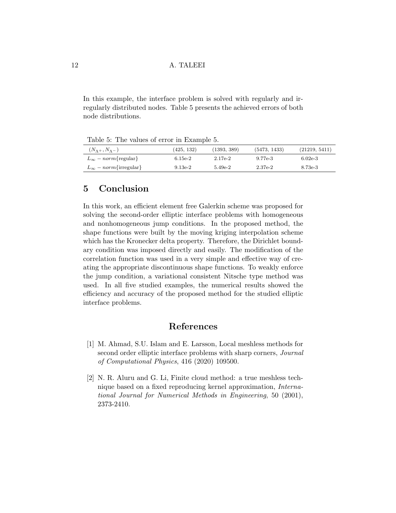In this example, the interface problem is solved with regularly and irregularly distributed nodes. Table 5 presents the achieved errors of both node distributions.

Table 5: The values of error in Example 5.

| $(N_{\Lambda^+}, N_{\Lambda^-})$ | (425, 132) | (1393, 389) | (5473, 1433) | (21219, 5411) |
|----------------------------------|------------|-------------|--------------|---------------|
| $L_{\infty}$ – norm {regular}    | 6.15e-2    | 2.17e-2     | 9.77e-3      | $6.02e-3$     |
| $L_{\infty}$ – norm {irregular}  | $9.13e-2$  | 5.49e-2     | 2.37e-2      | 8.73e-3       |

# 5 Conclusion

In this work, an efficient element free Galerkin scheme was proposed for solving the second-order elliptic interface problems with homogeneous and nonhomogeneous jump conditions. In the proposed method, the shape functions were built by the moving kriging interpolation scheme which has the Kronecker delta property. Therefore, the Dirichlet boundary condition was imposed directly and easily. The modification of the correlation function was used in a very simple and effective way of creating the appropriate discontinuous shape functions. To weakly enforce the jump condition, a variational consistent Nitsche type method was used. In all five studied examples, the numerical results showed the efficiency and accuracy of the proposed method for the studied elliptic interface problems.

# References

- <span id="page-11-1"></span>[1] M. Ahmad, S.U. Islam and E. Larsson, Local meshless methods for second order elliptic interface problems with sharp corners, *Journal* of Computational Physics, 416 (2020) 109500.
- <span id="page-11-0"></span>[2] N. R. Aluru and G. Li, Finite cloud method: a true meshless technique based on a fixed reproducing kernel approximation, International Journal for Numerical Methods in Engineering, 50 (2001), 2373-2410.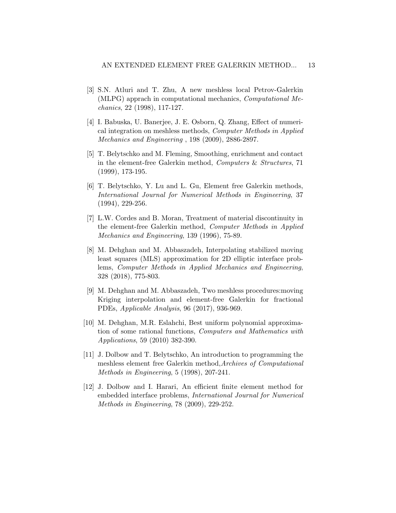- <span id="page-12-0"></span>[3] S.N. Atluri and T. Zhu, A new meshless local Petrov-Galerkin (MLPG) apprach in computational mechanics, Computational Mechanics, 22 (1998), 117-127.
- <span id="page-12-8"></span>[4] I. Babuska, U. Banerjee, J. E. Osborn, Q. Zhang, Effect of numerical integration on meshless methods, Computer Methods in Applied Mechanics and Engineering , 198 (2009), 2886-2897.
- <span id="page-12-6"></span>[5] T. Belytschko and M. Fleming, Smoothing, enrichment and contact in the element-free Galerkin method, Computers & Structures, 71 (1999), 173-195.
- <span id="page-12-1"></span>[6] T. Belytschko, Y. Lu and L. Gu, Element free Galerkin methods, International Journal for Numerical Methods in Engineering, 37 (1994), 229-256.
- <span id="page-12-3"></span>[7] L.W. Cordes and B. Moran, Treatment of material discontinuity in the element-free Galerkin method, Computer Methods in Applied Mechanics and Engineering, 139 (1996), 75-89.
- <span id="page-12-2"></span>[8] M. Dehghan and M. Abbaszadeh, Interpolating stabilized moving least squares (MLS) approximation for 2D elliptic interface problems, Computer Methods in Applied Mechanics and Engineering, 328 (2018), 775-803.
- <span id="page-12-5"></span>[9] M. Dehghan and M. Abbaszadeh, Two meshless procedures:moving Kriging interpolation and element-free Galerkin for fractional PDEs, Applicable Analysis, 96 (2017), 936-969.
- <span id="page-12-9"></span>[10] M. Dehghan, M.R. Eslahchi, Best uniform polynomial approximation of some rational functions, Computers and Mathematics with Applications, 59 (2010) 382-390.
- <span id="page-12-4"></span>[11] J. Dolbow and T. Belytschko, An introduction to programming the meshless element free Galerkin method,Archives of Computational Methods in Engineering, 5 (1998), 207-241.
- <span id="page-12-7"></span>[12] J. Dolbow and I. Harari, An efficient finite element method for embedded interface problems, International Journal for Numerical Methods in Engineering, 78 (2009), 229-252.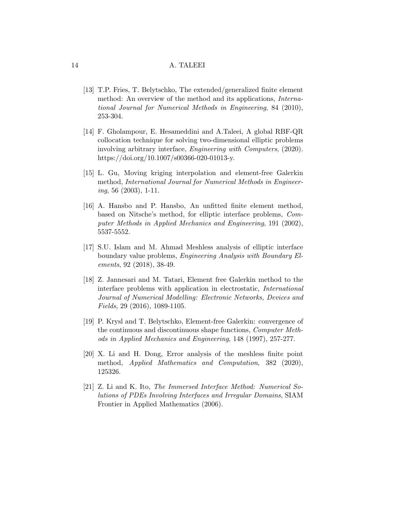- <span id="page-13-6"></span>[13] T.P. Fries, T. Belytschko, The extended/generalized finite element method: An overview of the method and its applications, International Journal for Numerical Methods in Engineering, 84 (2010), 253-304.
- <span id="page-13-2"></span>[14] F. Gholampour, E. Hesameddini and A.Taleei, A global RBF-QR collocation technique for solving two-dimensional elliptic problems involving arbitrary interface, Engineering with Computers, (2020). https://doi.org/10.1007/s00366-020-01013-y.
- <span id="page-13-4"></span>[15] L. Gu, Moving kriging interpolation and element-free Galerkin method, International Journal for Numerical Methods in Engineering, 56 (2003), 1-11.
- <span id="page-13-7"></span>[16] A. Hansbo and P. Hansbo, An unfitted finite element method, based on Nitsche's method, for elliptic interface problems, Computer Methods in Applied Mechanics and Engineering, 191 (2002), 5537-5552.
- [17] S.U. Islam and M. Ahmad Meshless analysis of elliptic interface boundary value problems, Engineering Analysis with Boundary Elements, 92 (2018), 38-49.
- <span id="page-13-3"></span>[18] Z. Jannesari and M. Tatari, Element free Galerkin method to the interface problems with application in electrostatic, International Journal of Numerical Modelling: Electronic Networks, Devices and Fields, 29 (2016), 1089-1105.
- <span id="page-13-5"></span>[19] P. Krysl and T. Belytschko, Element-free Galerkin: convergence of the continuous and discontinuous shape functions, Computer Methods in Applied Mechanics and Engineering, 148 (1997), 257-277.
- <span id="page-13-0"></span>[20] X. Li and H. Dong, Error analysis of the meshless finite point method, Applied Mathematics and Computation, 382 (2020), 125326.
- <span id="page-13-1"></span>[21] Z. Li and K. Ito, The Immersed Interface Method: Numerical Solutions of PDEs Involving Interfaces and Irregular Domains, SIAM Frontier in Applied Mathematics (2006).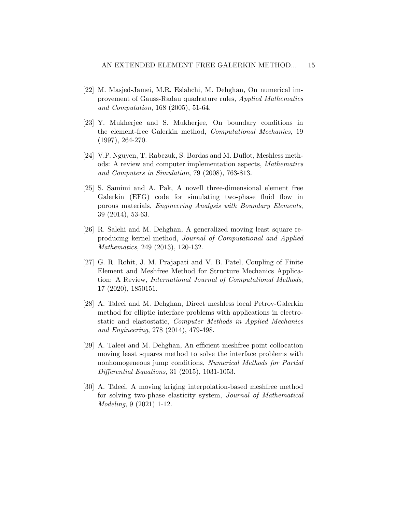- <span id="page-14-8"></span>[22] M. Masjed-Jamei, M.R. Eslahchi, M. Dehghan, On numerical improvement of Gauss-Radau quadrature rules, Applied Mathematics and Computation, 168 (2005), 51-64.
- <span id="page-14-7"></span>[23] Y. Mukherjee and S. Mukherjee, On boundary conditions in the element-free Galerkin method, Computational Mechanics, 19 (1997), 264-270.
- <span id="page-14-0"></span>[24] V.P. Nguyen, T. Rabczuk, S. Bordas and M. Duflot, Meshless methods: A review and computer implementation aspects, Mathematics and Computers in Simulation, 79 (2008), 763-813.
- <span id="page-14-6"></span>[25] S. Samimi and A. Pak, A novell three-dimensional element free Galerkin (EFG) code for simulating two-phase fluid flow in porous materials, Engineering Analysis with Boundary Elements, 39 (2014), 53-63.
- <span id="page-14-1"></span>[26] R. Salehi and M. Dehghan, A generalized moving least square reproducing kernel method, Journal of Computational and Applied Mathematics, 249 (2013), 120-132.
- <span id="page-14-5"></span>[27] G. R. Rohit, J. M. Prajapati and V. B. Patel, Coupling of Finite Element and Meshfree Method for Structure Mechanics Application: A Review, International Journal of Computational Methods, 17 (2020), 1850151.
- <span id="page-14-2"></span>[28] A. Taleei and M. Dehghan, Direct meshless local Petrov-Galerkin method for elliptic interface problems with applications in electrostatic and elastostatic, Computer Methods in Applied Mechanics and Engineering, 278 (2014), 479-498.
- <span id="page-14-3"></span>[29] A. Taleei and M. Dehghan, An efficient meshfree point collocation moving least squares method to solve the interface problems with nonhomogeneous jump conditions, Numerical Methods for Partial Differential Equations, 31 (2015), 1031-1053.
- <span id="page-14-4"></span>[30] A. Taleei, A moving kriging interpolation-based meshfree method for solving two-phase elasticity system, Journal of Mathematical Modeling, 9 (2021) 1-12.